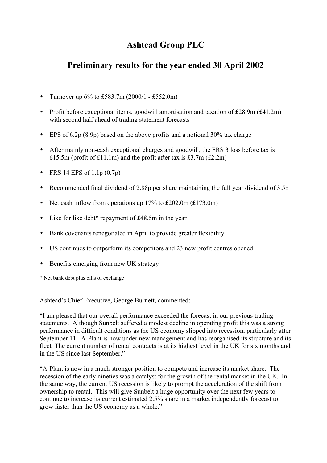# **Ashtead Group PLC**

# **Preliminary results for the year ended 30 April 2002**

- Turnover up  $6\%$  to £583.7m (2000/1 £552.0m)
- Profit before exceptional items, goodwill amortisation and taxation of  $£28.9m (£41.2m)$ with second half ahead of trading statement forecasts
- EPS of 6.2p (8.9p) based on the above profits and a notional 30% tax charge
- After mainly non-cash exceptional charges and goodwill, the FRS 3 loss before tax is £15.5m (profit of £11.1m) and the profit after tax is £3.7m  $(£2.2m)$
- FRS 14 EPS of 1.1p  $(0.7p)$
- Recommended final dividend of 2.88p per share maintaining the full year dividend of 3.5p
- Net cash inflow from operations up  $17\%$  to £202.0m (£173.0m)
- Like for like debt\* repayment of £48.5m in the year
- Bank covenants renegotiated in April to provide greater flexibility
- US continues to outperform its competitors and 23 new profit centres opened
- Benefits emerging from new UK strategy

\* Net bank debt plus bills of exchange

Ashtead's Chief Executive, George Burnett, commented:

"I am pleased that our overall performance exceeded the forecast in our previous trading statements. Although Sunbelt suffered a modest decline in operating profit this was a strong performance in difficult conditions as the US economy slipped into recession, particularly after September 11. A-Plant is now under new management and has reorganised its structure and its fleet. The current number of rental contracts is at its highest level in the UK for six months and in the US since last September."

"A-Plant is now in a much stronger position to compete and increase its market share. The recession of the early nineties was a catalyst for the growth of the rental market in the UK. In the same way, the current US recession is likely to prompt the acceleration of the shift from ownership to rental. This will give Sunbelt a huge opportunity over the next few years to continue to increase its current estimated 2.5% share in a market independently forecast to grow faster than the US economy as a whole."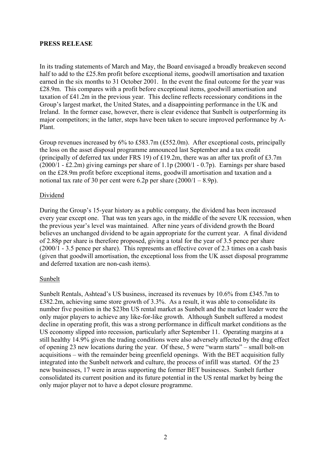### **PRESS RELEASE**

In its trading statements of March and May, the Board envisaged a broadly breakeven second half to add to the £25.8m profit before exceptional items, goodwill amortisation and taxation earned in the six months to 31 October 2001. In the event the final outcome for the year was £28.9m. This compares with a profit before exceptional items, goodwill amortisation and taxation of £41.2m in the previous year. This decline reflects recessionary conditions in the Group's largest market, the United States, and a disappointing performance in the UK and Ireland. In the former case, however, there is clear evidence that Sunbelt is outperforming its major competitors; in the latter, steps have been taken to secure improved performance by A-Plant.

Group revenues increased by 6% to £583.7m (£552.0m). After exceptional costs, principally the loss on the asset disposal programme announced last September and a tax credit (principally of deferred tax under FRS 19) of £19.2m, there was an after tax profit of £3.7m (2000/1 - £2.2m) giving earnings per share of 1.1p (2000/1 - 0.7p). Earnings per share based on the £28.9m profit before exceptional items, goodwill amortisation and taxation and a notional tax rate of 30 per cent were 6.2p per share  $(2000/1 - 8.9p)$ .

### Dividend

During the Group's 15-year history as a public company, the dividend has been increased every year except one. That was ten years ago, in the middle of the severe UK recession, when the previous year's level was maintained. After nine years of dividend growth the Board believes an unchanged dividend to be again appropriate for the current year. A final dividend of 2.88p per share is therefore proposed, giving a total for the year of 3.5 pence per share (2000/1 - 3.5 pence per share). This represents an effective cover of 2.3 times on a cash basis (given that goodwill amortisation, the exceptional loss from the UK asset disposal programme and deferred taxation are non-cash items).

### Sunbelt

Sunbelt Rentals, Ashtead's US business, increased its revenues by 10.6% from £345.7m to £382.2m, achieving same store growth of 3.3%. As a result, it was able to consolidate its number five position in the \$23bn US rental market as Sunbelt and the market leader were the only major players to achieve any like-for-like growth. Although Sunbelt suffered a modest decline in operating profit, this was a strong performance in difficult market conditions as the US economy slipped into recession, particularly after September 11. Operating margins at a still healthy 14.9% given the trading conditions were also adversely affected by the drag effect of opening 23 new locations during the year. Of these, 5 were "warm starts" – small bolt-on acquisitions – with the remainder being greenfield openings. With the BET acquisition fully integrated into the Sunbelt network and culture, the process of infill was started. Of the 23 new businesses, 17 were in areas supporting the former BET businesses. Sunbelt further consolidated its current position and its future potential in the US rental market by being the only major player not to have a depot closure programme.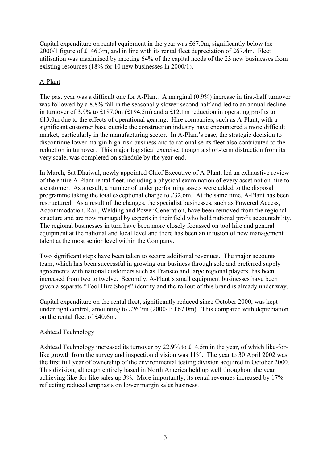Capital expenditure on rental equipment in the year was £67.0m, significantly below the 2000/1 figure of £146.3m, and in line with its rental fleet depreciation of £67.4m. Fleet utilisation was maximised by meeting 64% of the capital needs of the 23 new businesses from existing resources (18% for 10 new businesses in 2000/1).

## A-Plant

The past year was a difficult one for A-Plant. A marginal (0.9%) increase in first-half turnover was followed by a 8.8% fall in the seasonally slower second half and led to an annual decline in turnover of 3.9% to £187.0m (£194.5m) and a £12.1m reduction in operating profits to £13.0m due to the effects of operational gearing. Hire companies, such as A-Plant, with a significant customer base outside the construction industry have encountered a more difficult market, particularly in the manufacturing sector. In A-Plant's case, the strategic decision to discontinue lower margin high-risk business and to rationalise its fleet also contributed to the reduction in turnover. This major logistical exercise, though a short-term distraction from its very scale, was completed on schedule by the year-end.

In March, Sat Dhaiwal, newly appointed Chief Executive of A-Plant, led an exhaustive review of the entire A-Plant rental fleet, including a physical examination of every asset not on hire to a customer. As a result, a number of under performing assets were added to the disposal programme taking the total exceptional charge to £32.6m. At the same time, A-Plant has been restructured. As a result of the changes, the specialist businesses, such as Powered Access, Accommodation, Rail, Welding and Power Generation, have been removed from the regional structure and are now managed by experts in their field who hold national profit accountability. The regional businesses in turn have been more closely focussed on tool hire and general equipment at the national and local level and there has been an infusion of new management talent at the most senior level within the Company.

Two significant steps have been taken to secure additional revenues. The major accounts team, which has been successful in growing our business through sole and preferred supply agreements with national customers such as Transco and large regional players, has been increased from two to twelve. Secondly, A-Plant's small equipment businesses have been given a separate "Tool Hire Shops" identity and the rollout of this brand is already under way.

Capital expenditure on the rental fleet, significantly reduced since October 2000, was kept under tight control, amounting to £26.7m (2000/1: £67.0m). This compared with depreciation on the rental fleet of £40.6m.

## Ashtead Technology

Ashtead Technology increased its turnover by 22.9% to £14.5m in the year, of which like-forlike growth from the survey and inspection division was 11%. The year to 30 April 2002 was the first full year of ownership of the environmental testing division acquired in October 2000. This division, although entirely based in North America held up well throughout the year achieving like-for-like sales up 3%. More importantly, its rental revenues increased by 17% reflecting reduced emphasis on lower margin sales business.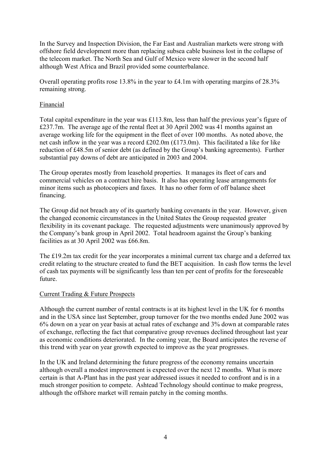In the Survey and Inspection Division, the Far East and Australian markets were strong with offshore field development more than replacing subsea cable business lost in the collapse of the telecom market. The North Sea and Gulf of Mexico were slower in the second half although West Africa and Brazil provided some counterbalance.

Overall operating profits rose 13.8% in the year to £4.1m with operating margins of 28.3% remaining strong.

## Financial

Total capital expenditure in the year was £113.8m, less than half the previous year's figure of £237.7m. The average age of the rental fleet at 30 April 2002 was 41 months against an average working life for the equipment in the fleet of over 100 months. As noted above, the net cash inflow in the year was a record £202.0m (£173.0m). This facilitated a like for like reduction of £48.5m of senior debt (as defined by the Group's banking agreements). Further substantial pay downs of debt are anticipated in 2003 and 2004.

The Group operates mostly from leasehold properties. It manages its fleet of cars and commercial vehicles on a contract hire basis. It also has operating lease arrangements for minor items such as photocopiers and faxes. It has no other form of off balance sheet financing.

The Group did not breach any of its quarterly banking covenants in the year. However, given the changed economic circumstances in the United States the Group requested greater flexibility in its covenant package. The requested adjustments were unanimously approved by the Company's bank group in April 2002. Total headroom against the Group's banking facilities as at 30 April 2002 was £66.8m.

The £19.2m tax credit for the year incorporates a minimal current tax charge and a deferred tax credit relating to the structure created to fund the BET acquisition. In cash flow terms the level of cash tax payments will be significantly less than ten per cent of profits for the foreseeable future.

## Current Trading & Future Prospects

Although the current number of rental contracts is at its highest level in the UK for 6 months and in the USA since last September, group turnover for the two months ended June 2002 was 6% down on a year on year basis at actual rates of exchange and 3% down at comparable rates of exchange, reflecting the fact that comparative group revenues declined throughout last year as economic conditions deteriorated. In the coming year, the Board anticipates the reverse of this trend with year on year growth expected to improve as the year progresses.

In the UK and Ireland determining the future progress of the economy remains uncertain although overall a modest improvement is expected over the next 12 months. What is more certain is that A-Plant has in the past year addressed issues it needed to confront and is in a much stronger position to compete. Ashtead Technology should continue to make progress, although the offshore market will remain patchy in the coming months.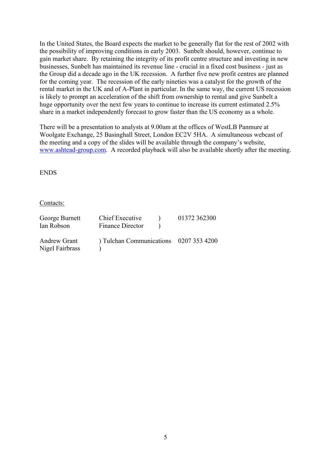In the United States, the Board expects the market to be generally flat for the rest of 2002 with the possibility of improving conditions in early 2003. Sunbelt should, however, continue to gain market share. By retaining the integrity of its profit centre structure and investing in new businesses, Sunbelt has maintained its revenue line - crucial in a fixed cost business - just as the Group did a decade ago in the UK recession. A further five new profit centres are planned for the coming year. The recession of the early nineties was a catalyst for the growth of the rental market in the UK and of A-Plant in particular. In the same way, the current US recession is likely to prompt an acceleration of the shift from ownership to rental and give Sunbelt a huge opportunity over the next few years to continue to increase its current estimated 2.5% share in a market independently forecast to grow faster than the US economy as a whole.

There will be a presentation to analysts at 9.00am at the offices of WestLB Panmure at Woolgate Exchange, 25 Basinghall Street, London EC2V 5HA. A simultaneous webcast of the meeting and a copy of the slides will be available through the company's website, www.ashtead-group.com. A recorded playback will also be available shortly after the meeting.

ENDS

Contacts:

| George Burnett<br>Ian Robson           | Chief Executive<br>Finance Director  | 01372 362300 |
|----------------------------------------|--------------------------------------|--------------|
| <b>Andrew Grant</b><br>Nigel Fairbrass | Tulchan Communications 0207 353 4200 |              |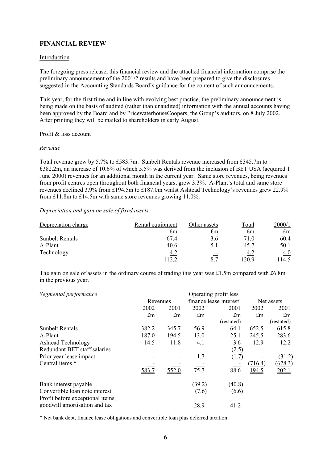## **FINANCIAL REVIEW**

#### Introduction

The foregoing press release, this financial review and the attached financial information comprise the preliminary announcement of the 2001/2 results and have been prepared to give the disclosures suggested in the Accounting Standards Board's guidance for the content of such announcements.

This year, for the first time and in line with evolving best practice, the preliminary announcement is being made on the basis of audited (rather than unaudited) information with the annual accounts having been approved by the Board and by PricewaterhouseCoopers, the Group's auditors, on 8 July 2002. After printing they will be mailed to shareholders in early August.

#### Profit & loss account

#### *Revenue*

Total revenue grew by 5.7% to £583.7m. Sunbelt Rentals revenue increased from £345.7m to £382.2m, an increase of 10.6% of which 5.5% was derived from the inclusion of BET USA (acquired 1 June 2000) revenues for an additional month in the current year. Same store revenues, being revenues from profit centres open throughout both financial years, grew 3.3%. A-Plant's total and same store revenues declined 3.9% from £194.5m to £187.0m whilst Ashtead Technology's revenues grew 22.9% from £11.8m to £14.5m with same store revenues growing 11.0%.

#### *Depreciation and gain on sale of fixed assets*

| Depreciation charge    | Rental equipment | Other assets             | Total      | 2000/1 |
|------------------------|------------------|--------------------------|------------|--------|
|                        | £m               | £m                       | £m         | £m     |
| <b>Sunbelt Rentals</b> | 67.4             | 3.6                      | 71.0       | 60.4   |
| A-Plant                | 40.6             | 5.1                      | 45.7       | 50.1   |
| Technology             | 4.2              | $\overline{\phantom{a}}$ | <u>4.2</u> | 4.0    |
|                        |                  | <u>8.7</u>               | 20.9       | ! 14.5 |

The gain on sale of assets in the ordinary course of trading this year was £1.5m compared with £6.8m in the previous year.

| Segmental performance                                             |          |       |        | Operating profit less  |         |                    |
|-------------------------------------------------------------------|----------|-------|--------|------------------------|---------|--------------------|
|                                                                   | Revenues |       |        | finance lease interest |         | Net assets         |
|                                                                   | 2002     | 2001  | 2002   | 2001                   | 2002    | <u>2001</u>        |
|                                                                   | £m       | £m    | £m     | $\pounds$ m            | £m      | $\mathop{\pmb{m}}$ |
|                                                                   |          |       |        | (restated)             |         | (restated)         |
| <b>Sunbelt Rentals</b>                                            | 382.2    | 345.7 | 56.9   | 64.1                   | 652.5   | 615.8              |
| A-Plant                                                           | 187.0    | 194.5 | 13.0   | 25.1                   | 245.5   | 283.6              |
| <b>Ashtead Technology</b>                                         | 14.5     | 11.8  | 4.1    | 3.6                    | 12.9    | 12.2               |
| Redundant BET staff salaries                                      |          |       |        | (2.5)                  |         |                    |
| Prior year lease impact                                           |          | ۰     | 1.7    | (1.7)                  |         | (31.2)             |
| Central items *                                                   |          |       |        |                        | (716.4) | (678.3)            |
|                                                                   | 583.7    | 552.0 | 75.7   | 88.6                   | 194.5   | 202.1              |
| Bank interest payable                                             |          |       | (39.2) | (40.8)                 |         |                    |
| Convertible loan note interest                                    |          |       | (7.6)  | $\underline{(6.6)}$    |         |                    |
| Profit before exceptional items,<br>goodwill amortisation and tax |          |       | 28.9   | <u>41.2</u>            |         |                    |

\* Net bank debt, finance lease obligations and convertible loan plus deferred taxation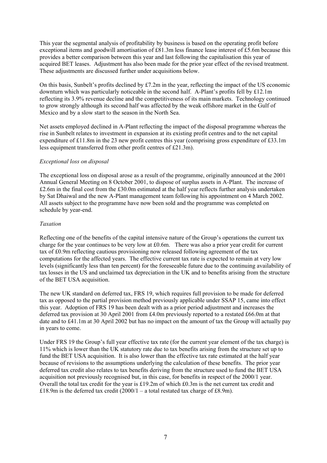This year the segmental analysis of profitability by business is based on the operating profit before exceptional items and goodwill amortisation of £81.3m less finance lease interest of £5.6m because this provides a better comparison between this year and last following the capitalisation this year of acquired BET leases. Adjustment has also been made for the prior year effect of the revised treatment. These adjustments are discussed further under acquisitions below.

On this basis. Sunbelt's profits declined by  $\text{\pounds}7.2m$  in the year, reflecting the impact of the US economic downturn which was particularly noticeable in the second half. A-Plant's profits fell by £12.1m reflecting its 3.9% revenue decline and the competitiveness of its main markets. Technology continued to grow strongly although its second half was affected by the weak offshore market in the Gulf of Mexico and by a slow start to the season in the North Sea.

Net assets employed declined in A-Plant reflecting the impact of the disposal programme whereas the rise in Sunbelt relates to investment in expansion at its existing profit centres and to the net capital expenditure of £11.8m in the 23 new profit centres this year (comprising gross expenditure of £33.1m less equipment transferred from other profit centres of £21.3m).

#### *Exceptional loss on disposal*

The exceptional loss on disposal arose as a result of the programme, originally announced at the 2001 Annual General Meeting on 8 October 2001, to dispose of surplus assets in A-Plant. The increase of £2.6m in the final cost from the £30.0m estimated at the half year reflects further analysis undertaken by Sat Dhaiwal and the new A-Plant management team following his appointment on 4 March 2002. All assets subject to the programme have now been sold and the programme was completed on schedule by year-end.

#### *Taxation*

Reflecting one of the benefits of the capital intensive nature of the Group's operations the current tax charge for the year continues to be very low at £0.6m. There was also a prior year credit for current tax of £0.9m reflecting cautious provisioning now released following agreement of the tax computations for the affected years. The effective current tax rate is expected to remain at very low levels (significantly less than ten percent) for the foreseeable future due to the continuing availability of tax losses in the US and unclaimed tax depreciation in the UK and to benefits arising from the structure of the BET USA acquisition.

The new UK standard on deferred tax, FRS 19, which requires full provision to be made for deferred tax as opposed to the partial provision method previously applicable under SSAP 15, came into effect this year. Adoption of FRS 19 has been dealt with as a prior period adjustment and increases the deferred tax provision at 30 April 2001 from £4.0m previously reported to a restated £66.0m at that date and to £41.1m at 30 April 2002 but has no impact on the amount of tax the Group will actually pay in years to come.

Under FRS 19 the Group's full year effective tax rate (for the current year element of the tax charge) is 11% which is lower than the UK statutory rate due to tax benefits arising from the structure set up to fund the BET USA acquisition. It is also lower than the effective tax rate estimated at the half year because of revisions to the assumptions underlying the calculation of these benefits. The prior year deferred tax credit also relates to tax benefits deriving from the structure used to fund the BET USA acquisition not previously recognised but, in this case, for benefits in respect of the 2000/1 year. Overall the total tax credit for the year is £19.2m of which £0.3m is the net current tax credit and £18.9m is the deferred tax credit  $(2000/1 - a$  total restated tax charge of £8.9m).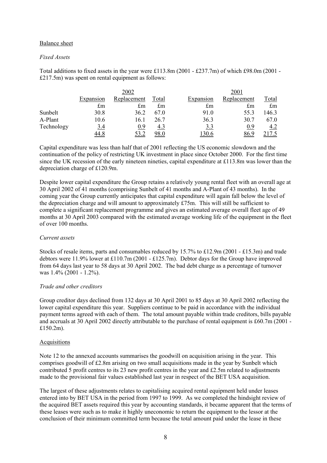#### Balance sheet

#### *Fixed Assets*

Total additions to fixed assets in the year were £113.8m (2001 - £237.7m) of which £98.0m (2001 - £217.5m) was spent on rental equipment as follows:

|            |             | 2002        |       |             | 2001        |             |
|------------|-------------|-------------|-------|-------------|-------------|-------------|
|            | Expansion   | Replacement | Total | Expansion   | Replacement | Total       |
|            | £m          | £m          | £m    | $\pounds$ m | $\pounds$ m | $\pounds$ m |
| Sunbelt    | 30.8        | 36.2        | 67.0  | 91.0        | 55.3        | 146.3       |
| A-Plant    | 10.6        | 16.1        | 26.7  | 36.3        | 30.7        | 67.0        |
| Technology | <u>3.4</u>  | 0.9         | 4.3   | <u>3.3</u>  | 0.9         | 4.2         |
|            | <u>44.8</u> | <u>53.2</u> |       | 130.6       | 86.9        |             |

Capital expenditure was less than half that of 2001 reflecting the US economic slowdown and the continuation of the policy of restricting UK investment in place since October 2000. For the first time since the UK recession of the early nineteen nineties, capital expenditure at £113.8m was lower than the depreciation charge of £120.9m.

Despite lower capital expenditure the Group retains a relatively young rental fleet with an overall age at 30 April 2002 of 41 months (comprising Sunbelt of 41 months and A-Plant of 43 months). In the coming year the Group currently anticipates that capital expenditure will again fall below the level of the depreciation charge and will amount to approximately  $E75m$ . This will still be sufficient to complete a significant replacement programme and gives an estimated average overall fleet age of 49 months at 30 April 2003 compared with the estimated average working life of the equipment in the fleet of over 100 months.

### *Current assets*

Stocks of resale items, parts and consumables reduced by 15.7% to £12.9m (2001 - £15.3m) and trade debtors were 11.9% lower at £110.7m (2001 - £125.7m). Debtor days for the Group have improved from 64 days last year to 58 days at 30 April 2002. The bad debt charge as a percentage of turnover was 1.4% (2001 - 1.2%).

#### *Trade and other creditors*

Group creditor days declined from 132 days at 30 April 2001 to 85 days at 30 April 2002 reflecting the lower capital expenditure this year. Suppliers continue to be paid in accordance with the individual payment terms agreed with each of them. The total amount payable within trade creditors, bills payable and accruals at 30 April 2002 directly attributable to the purchase of rental equipment is £60.7m (2001 - £150.2m).

#### Acquisitions

Note 12 to the annexed accounts summarises the goodwill on acquisition arising in the year. This comprises goodwill of £2.8m arising on two small acquisitions made in the year by Sunbelt which contributed 5 profit centres to its 23 new profit centres in the year and £2.5m related to adjustments made to the provisional fair values established last year in respect of the BET USA acquisition.

The largest of these adjustments relates to capitalising acquired rental equipment held under leases entered into by BET USA in the period from 1997 to 1999. As we completed the hindsight review of the acquired BET assets required this year by accounting standards, it became apparent that the terms of these leases were such as to make it highly uneconomic to return the equipment to the lessor at the conclusion of their minimum committed term because the total amount paid under the lease in these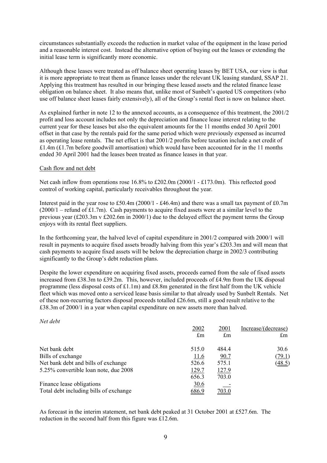circumstances substantially exceeds the reduction in market value of the equipment in the lease period and a reasonable interest cost. Instead the alternative option of buying out the leases or extending the initial lease term is significantly more economic.

Although these leases were treated as off balance sheet operating leases by BET USA, our view is that it is more appropriate to treat them as finance leases under the relevant UK leasing standard, SSAP 21. Applying this treatment has resulted in our bringing these leased assets and the related finance lease obligation on balance sheet. It also means that, unlike most of Sunbelt's quoted US competitors (who use off balance sheet leases fairly extensively), all of the Group's rental fleet is now on balance sheet.

As explained further in note 12 to the annexed accounts, as a consequence of this treatment, the 2001/2 profit and loss account includes not only the depreciation and finance lease interest relating to the current year for these leases but also the equivalent amounts for the 11 months ended 30 April 2001 offset in that case by the rentals paid for the same period which were previously expensed as incurred as operating lease rentals. The net effect is that 2001/2 profits before taxation include a net credit of  $£1.4m (£1.7m before good will amortisation) which would have been accounted for in the 11 months.$ ended 30 April 2001 had the leases been treated as finance leases in that year.

#### Cash flow and net debt

Net cash inflow from operations rose  $16.8\%$  to £202.0m (2000/1 - £173.0m). This reflected good control of working capital, particularly receivables throughout the year.

Interest paid in the year rose to £50.4m (2000/1 - £46.4m) and there was a small tax payment of £0.7m (2000/1 – refund of £1.7m). Cash payments to acquire fixed assets were at a similar level to the previous year ( $\text{\pounds}203.3\text{m}$  v  $\text{\pounds}202.6\text{m}$  in 2000/1) due to the delayed effect the payment terms the Group enjoys with its rental fleet suppliers.

In the forthcoming year, the halved level of capital expenditure in 2001/2 compared with 2000/1 will result in payments to acquire fixed assets broadly halving from this year's £203.3m and will mean that cash payments to acquire fixed assets will be below the depreciation charge in 2002/3 contributing significantly to the Group's debt reduction plans.

Despite the lower expenditure on acquiring fixed assets, proceeds earned from the sale of fixed assets increased from £38.3m to £39.2m. This, however, included proceeds of £4.9m from the UK disposal programme (less disposal costs of £1.1m) and £8.8m generated in the first half from the UK vehicle fleet which was moved onto a serviced lease basis similar to that already used by Sunbelt Rentals. Net of these non-recurring factors disposal proceeds totalled £26.6m, still a good result relative to the £38.3m of 2000/1 in a year when capital expenditure on new assets more than halved.

#### *Net debt*

|                                        | 2002        | 2001        | Increase/(decrease) |
|----------------------------------------|-------------|-------------|---------------------|
|                                        | $\pounds$ m | $\pounds$ m | $\pounds$ m         |
| Net bank debt                          | 515.0       | 484.4       | 30.6                |
| Bills of exchange                      | <u>11.6</u> | 90.7        | (79.1)              |
| Net bank debt and bills of exchange    | 526.6       | 575.1       | (48.5)              |
| 5.25% convertible loan note, due 2008  | 129.7       | 127.9       |                     |
|                                        | 656.3       | 703.0       |                     |
| Finance lease obligations              | <u>30.6</u> |             |                     |
| Total debt including bills of exchange | 686.9       | 703.0       |                     |

As forecast in the interim statement, net bank debt peaked at 31 October 2001 at £527.6m. The reduction in the second half from this figure was £12.6m.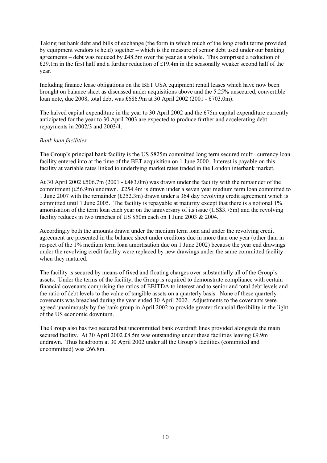Taking net bank debt and bills of exchange (the form in which much of the long credit terms provided by equipment vendors is held) together – which is the measure of senior debt used under our banking agreements – debt was reduced by £48.5m over the year as a whole. This comprised a reduction of £29.1m in the first half and a further reduction of £19.4m in the seasonally weaker second half of the year.

Including finance lease obligations on the BET USA equipment rental leases which have now been brought on balance sheet as discussed under acquisitions above and the 5.25% unsecured, convertible loan note, due 2008, total debt was £686.9m at 30 April 2002 (2001 - £703.0m).

The halved capital expenditure in the year to 30 April 2002 and the £75m capital expenditure currently anticipated for the year to 30 April 2003 are expected to produce further and accelerating debt repayments in 2002/3 and 2003/4.

#### *Bank loan facilities*

The Group's principal bank facility is the US \$825m committed long term secured multi- currency loan facility entered into at the time of the BET acquisition on 1 June 2000. Interest is payable on this facility at variable rates linked to underlying market rates traded in the London interbank market.

At 30 April 2002 £506.7m (2001 - £483.0m) was drawn under the facility with the remainder of the commitment (£56.9m) undrawn. £254.4m is drawn under a seven year medium term loan committed to 1 June 2007 with the remainder (£252.3m) drawn under a 364 day revolving credit agreement which is committed until 1 June 2005. The facility is repayable at maturity except that there is a notional 1% amortisation of the term loan each year on the anniversary of its issue (US\$3.75m) and the revolving facility reduces in two tranches of US \$50m each on 1 June 2003 & 2004.

Accordingly both the amounts drawn under the medium term loan and under the revolving credit agreement are presented in the balance sheet under creditors due in more than one year (other than in respect of the 1% medium term loan amortisation due on 1 June 2002) because the year end drawings under the revolving credit facility were replaced by new drawings under the same committed facility when they matured.

The facility is secured by means of fixed and floating charges over substantially all of the Group's assets. Under the terms of the facility, the Group is required to demonstrate compliance with certain financial covenants comprising the ratios of EBITDA to interest and to senior and total debt levels and the ratio of debt levels to the value of tangible assets on a quarterly basis. None of these quarterly covenants was breached during the year ended 30 April 2002. Adjustments to the covenants were agreed unanimously by the bank group in April 2002 to provide greater financial flexibility in the light of the US economic downturn.

The Group also has two secured but uncommitted bank overdraft lines provided alongside the main secured facility. At 30 April 2002 £8.5m was outstanding under these facilities leaving £9.9m undrawn. Thus headroom at 30 April 2002 under all the Group's facilities (committed and uncommitted) was £66.8m.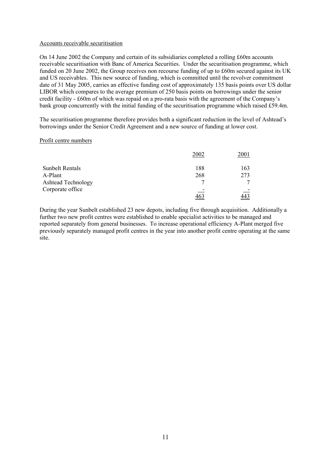#### Accounts receivable securitisation

On 14 June 2002 the Company and certain of its subsidiaries completed a rolling £60m accounts receivable securitisation with Banc of America Securities. Under the securitisation programme, which funded on 20 June 2002, the Group receives non recourse funding of up to £60m secured against its UK and US receivables. This new source of funding, which is committed until the revolver commitment date of 31 May 2005, carries an effective funding cost of approximately 135 basis points over US dollar LIBOR which compares to the average premium of 250 basis points on borrowings under the senior credit facility - £60m of which was repaid on a pro-rata basis with the agreement of the Company's bank group concurrently with the initial funding of the securitisation programme which raised £59.4m.

The securitisation programme therefore provides both a significant reduction in the level of Ashtead's borrowings under the Senior Credit Agreement and a new source of funding at lower cost.

#### Profit centre numbers

|                           | 2002 | 2001 |
|---------------------------|------|------|
| <b>Sunbelt Rentals</b>    | 188  | 163  |
| A-Plant                   | 268  | 273  |
| <b>Ashtead Technology</b> |      |      |
| Corporate office          |      |      |
|                           |      |      |

During the year Sunbelt established 23 new depots, including five through acquisition. Additionally a further two new profit centres were established to enable specialist activities to be managed and reported separately from general businesses. To increase operational efficiency A-Plant merged five previously separately managed profit centres in the year into another profit centre operating at the same site.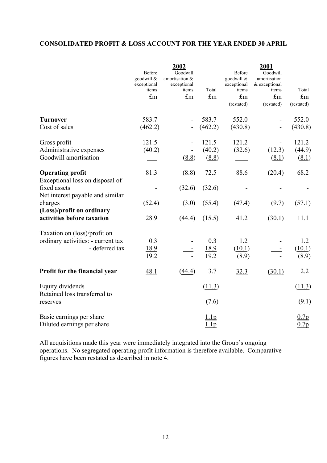## **CONSOLIDATED PROFIT & LOSS ACCOUNT FOR THE YEAR ENDED 30 APRIL**

|                                                                                      | Before<br>goodwill & | 2002<br>Goodwill<br>amortisation & |                     | Before<br>goodwill &      | 2001<br>Goodwill<br>amortisation |                           |
|--------------------------------------------------------------------------------------|----------------------|------------------------------------|---------------------|---------------------------|----------------------------------|---------------------------|
|                                                                                      | exceptional<br>items | exceptional<br>items               | Total               | exceptional<br>items      | & exceptional<br>items           | Total                     |
|                                                                                      | £m                   | $\pounds$ m                        | $\pounds$ m         | $\pounds$ m<br>(restated) | $\pounds$ m<br>(restated)        | $\pounds$ m<br>(restated) |
| <b>Turnover</b>                                                                      | 583.7                |                                    | 583.7               | 552.0                     |                                  | 552.0                     |
| Cost of sales                                                                        | (462.2)              |                                    | (462.2)             | (430.8)                   |                                  | (430.8)                   |
| Gross profit<br>Administrative expenses                                              | 121.5<br>(40.2)      |                                    | 121.5<br>(40.2)     | 121.2<br>(32.6)           | $\frac{1}{2}$<br>(12.3)          | 121.2<br>(44.9)           |
| Goodwill amortisation                                                                |                      | (8.8)                              | (8.8)               |                           | (8.1)                            | (8.1)                     |
| <b>Operating profit</b><br>Exceptional loss on disposal of                           | 81.3                 | (8.8)                              | 72.5                | 88.6                      | (20.4)                           | 68.2                      |
| fixed assets<br>Net interest payable and similar                                     |                      | (32.6)                             | (32.6)              |                           |                                  |                           |
| charges                                                                              | (52.4)               | (3.0)                              | (55.4)              | (47.4)                    | (9.7)                            | (57.1)                    |
| (Loss)/profit on ordinary<br>activities before taxation                              | 28.9                 | (44.4)                             | (15.5)              | 41.2                      | (30.1)                           | 11.1                      |
| Taxation on (loss)/profit on<br>ordinary activities: - current tax<br>- deferred tax | 0.3<br>18.9<br>19.2  |                                    | 0.3<br>18.9<br>19.2 | 1.2<br>(10.1)<br>(8.9)    |                                  | 1.2<br>(10.1)<br>(8.9)    |
| Profit for the financial year                                                        | 48.1                 | (44.4)                             | 3.7                 | 32.3                      | (30.1)                           | 2.2                       |
| Equity dividends<br>Retained loss transferred to                                     |                      |                                    | (11.3)              |                           |                                  | (11.3)                    |
| reserves                                                                             |                      |                                    | (7.6)               |                           |                                  | (9.1)                     |
| Basic earnings per share<br>Diluted earnings per share                               |                      |                                    | 1.1p<br>1.lp        |                           |                                  | 0.7p<br>0.7p              |

All acquisitions made this year were immediately integrated into the Group's ongoing operations. No segregated operating profit information is therefore available. Comparative figures have been restated as described in note 4.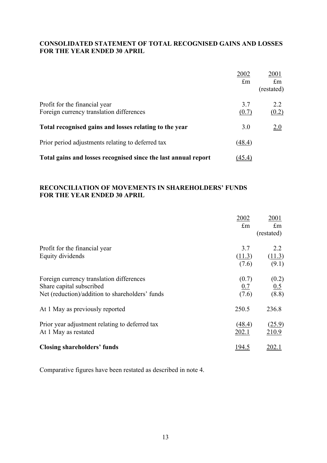## **CONSOLIDATED STATEMENT OF TOTAL RECOGNISED GAINS AND LOSSES FOR THE YEAR ENDED 30 APRIL**

|                                                                           | 2002<br>$\pounds$ m | 2001<br>$\mathbf{f}_{\mathbf{m}}$<br>(restated) |
|---------------------------------------------------------------------------|---------------------|-------------------------------------------------|
| Profit for the financial year<br>Foreign currency translation differences | 3.7<br>(0.7)        | $2.2^{\circ}$<br>(0.2)                          |
| Total recognised gains and losses relating to the year                    | 3.0                 | 2.0                                             |
| Prior period adjustments relating to deferred tax                         | (48.4)              |                                                 |
| Total gains and losses recognised since the last annual report            | (45.4)              |                                                 |

## **RECONCILIATION OF MOVEMENTS IN SHAREHOLDERS' FUNDS FOR THE YEAR ENDED 30 APRIL**

|                                                                                                                         | 2002<br>$\pounds$ m    | 2001<br>$\pounds$ m<br>(restated) |
|-------------------------------------------------------------------------------------------------------------------------|------------------------|-----------------------------------|
| Profit for the financial year<br>Equity dividends                                                                       | 3.7<br>(11.3)<br>(7.6) | 2.2<br>(11.3)<br>(9.1)            |
| Foreign currency translation differences<br>Share capital subscribed<br>Net (reduction)/addition to shareholders' funds | (0.7)<br>0.7<br>(7.6)  | (0.2)<br>0.5<br>(8.8)             |
| At 1 May as previously reported                                                                                         | 250.5                  | 236.8                             |
| Prior year adjustment relating to deferred tax<br>At 1 May as restated                                                  | (48.4)<br>202.1        | (25.9)<br>210.9                   |
| <b>Closing shareholders' funds</b>                                                                                      | 194.5                  |                                   |

Comparative figures have been restated as described in note 4.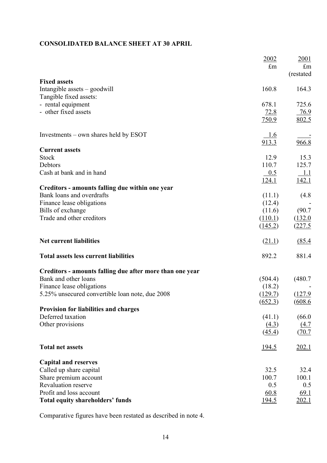## **CONSOLIDATED BALANCE SHEET AT 30 APRIL**

|                                                                              | 2002<br>$\mathop{\text{fm}}$ | 2001<br>$\pounds$ m<br>(restated |
|------------------------------------------------------------------------------|------------------------------|----------------------------------|
| <b>Fixed assets</b>                                                          |                              |                                  |
| Intangible assets – goodwill                                                 | 160.8                        | 164.3                            |
| Tangible fixed assets:                                                       |                              |                                  |
| - rental equipment                                                           | 678.1                        | 725.6                            |
| - other fixed assets                                                         | 72.8                         | 76.9                             |
|                                                                              | 750.9                        | 802.5                            |
| Investments – own shares held by ESOT                                        | 1.6                          |                                  |
|                                                                              | 913.3                        | 966.8                            |
| <b>Current assets</b>                                                        |                              |                                  |
| <b>Stock</b>                                                                 | 12.9                         | 15.3                             |
| Debtors                                                                      | 110.7                        | 125.7                            |
| Cash at bank and in hand                                                     | 0.5                          | 1.1                              |
|                                                                              | 124.1                        | 142.1                            |
| Creditors - amounts falling due within one year<br>Bank loans and overdrafts | (11.1)                       |                                  |
|                                                                              |                              | (4.8)                            |
| Finance lease obligations<br>Bills of exchange                               | (12.4)<br>(11.6)             |                                  |
| Trade and other creditors                                                    |                              | (90.7)                           |
|                                                                              | (110.1)                      | (132.0)                          |
|                                                                              | (145.2)                      | (227.5)                          |
| <b>Net current liabilities</b>                                               | (21.1)                       | (85.4)                           |
| <b>Total assets less current liabilities</b>                                 | 892.2                        | 881.4                            |
| Creditors - amounts falling due after more than one year                     |                              |                                  |
| Bank and other loans                                                         | (504.4)                      | (480.7)                          |
| Finance lease obligations                                                    | (18.2)                       |                                  |
| 5.25% unsecured convertible loan note, due 2008                              | (129.7)                      | (127.9)                          |
|                                                                              | (652.3)                      | (608.6)                          |
| <b>Provision for liabilities and charges</b>                                 |                              |                                  |
| Deferred taxation                                                            | (41.1)                       | (66.0)                           |
| Other provisions                                                             | (4.3)                        | (4.7)                            |
|                                                                              | (45.4)                       | (70.7)                           |
| <b>Total net assets</b>                                                      | <u>194.5</u>                 | <u>202.1</u>                     |
| <b>Capital and reserves</b>                                                  |                              |                                  |
| Called up share capital                                                      | 32.5                         | 32.4                             |
| Share premium account                                                        | 100.7                        | 100.1                            |
| Revaluation reserve                                                          | 0.5                          | 0.5                              |
| Profit and loss account                                                      | 60.8                         | 69.1                             |
| <b>Total equity shareholders' funds</b>                                      | <u>194.5</u>                 | 202.1                            |

Comparative figures have been restated as described in note 4.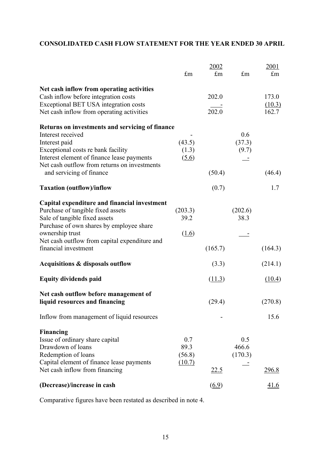## **CONSOLIDATED CASH FLOW STATEMENT FOR THE YEAR ENDED 30 APRIL**

|                                                                                    | £m      | 2002<br>$\pounds$ m | $\pounds$ m | <u>2001</u><br>$\pounds$ m |
|------------------------------------------------------------------------------------|---------|---------------------|-------------|----------------------------|
| Net cash inflow from operating activities                                          |         |                     |             |                            |
| Cash inflow before integration costs                                               |         | 202.0               |             | 173.0                      |
| Exceptional BET USA integration costs<br>Net cash inflow from operating activities |         | $\frac{1}{202.0}$   |             | (10.3)<br>162.7            |
| Returns on investments and servicing of finance                                    |         |                     |             |                            |
| Interest received                                                                  |         |                     | 0.6         |                            |
| Interest paid                                                                      | (43.5)  |                     | (37.3)      |                            |
| Exceptional costs re bank facility                                                 | (1.3)   |                     | (9.7)       |                            |
| Interest element of finance lease payments                                         | (5.6)   |                     |             |                            |
| Net cash outflow from returns on investments<br>and servicing of finance           |         | (50.4)              |             | (46.4)                     |
| <b>Taxation (outflow)/inflow</b>                                                   |         | (0.7)               |             | 1.7                        |
| Capital expenditure and financial investment                                       |         |                     |             |                            |
| Purchase of tangible fixed assets                                                  | (203.3) |                     | (202.6)     |                            |
| Sale of tangible fixed assets                                                      | 39.2    |                     | 38.3        |                            |
| Purchase of own shares by employee share                                           |         |                     |             |                            |
| ownership trust                                                                    | (1.6)   |                     |             |                            |
| Net cash outflow from capital expenditure and                                      |         |                     |             |                            |
| financial investment                                                               |         | (165.7)             |             | (164.3)                    |
| Acquisitions & disposals outflow                                                   |         | (3.3)               |             | (214.1)                    |
| <b>Equity dividends paid</b>                                                       |         | (11.3)              |             | (10.4)                     |
| Net cash outflow before management of                                              |         |                     |             |                            |
| liquid resources and financing                                                     |         | (29.4)              |             | (270.8)                    |
| Inflow from management of liquid resources                                         |         |                     |             | 15.6                       |
| <b>Financing</b>                                                                   |         |                     |             |                            |
| Issue of ordinary share capital                                                    | 0.7     |                     | 0.5         |                            |
| Drawdown of loans                                                                  | 89.3    |                     | 466.6       |                            |
| Redemption of loans                                                                | (56.8)  |                     | (170.3)     |                            |
| Capital element of finance lease payments                                          | (10.7)  |                     |             |                            |
| Net cash inflow from financing                                                     |         | <u>22.5</u>         |             | <u>296.8</u>               |
| (Decrease)/increase in cash                                                        |         | (6.9)               |             | <u>41.6</u>                |

Comparative figures have been restated as described in note 4.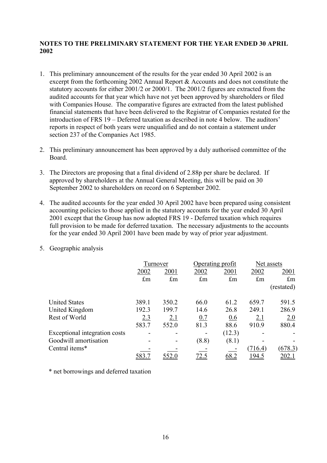### **NOTES TO THE PRELIMINARY STATEMENT FOR THE YEAR ENDED 30 APRIL 2002**

- 1. This preliminary announcement of the results for the year ended 30 April 2002 is an excerpt from the forthcoming 2002 Annual Report & Accounts and does not constitute the statutory accounts for either 2001/2 or 2000/1. The 2001/2 figures are extracted from the audited accounts for that year which have not yet been approved by shareholders or filed with Companies House. The comparative figures are extracted from the latest published financial statements that have been delivered to the Registrar of Companies restated for the introduction of FRS 19 – Deferred taxation as described in note 4 below. The auditors' reports in respect of both years were unqualified and do not contain a statement under section 237 of the Companies Act 1985.
- 2. This preliminary announcement has been approved by a duly authorised committee of the Board.
- 3. The Directors are proposing that a final dividend of 2.88p per share be declared. If approved by shareholders at the Annual General Meeting, this will be paid on 30 September 2002 to shareholders on record on 6 September 2002.
- 4. The audited accounts for the year ended 30 April 2002 have been prepared using consistent accounting policies to those applied in the statutory accounts for the year ended 30 April 2001 except that the Group has now adopted FRS 19 - Deferred taxation which requires full provision to be made for deferred taxation. The necessary adjustments to the accounts for the year ended 30 April 2001 have been made by way of prior year adjustment.
- 5. Geographic analysis

|                               | Turnover     |             |             | Operating profit |               | Net assets    |
|-------------------------------|--------------|-------------|-------------|------------------|---------------|---------------|
|                               | 2002         | 2001        | 2002        | 2001             | 2002          | 2001          |
|                               | $\pounds$ m  | $\pounds$ m | $\pounds$ m | $\pounds$ m      | $\pounds$ m   | $\pounds$ m   |
|                               |              |             |             |                  |               | (restated)    |
| <b>United States</b>          | 389.1        | 350.2       | 66.0        | 61.2             | 659.7         | 591.5         |
| United Kingdom                | 192.3        | 199.7       | 14.6        | 26.8             | 249.1         | 286.9         |
| Rest of World                 | <u>2.3</u>   | <u>2.1</u>  | 0.7         | 0.6              | <u>2.1</u>    | 2.0           |
|                               | 583.7        | 552.0       | 81.3        | 88.6             | 910.9         | 880.4         |
| Exceptional integration costs | -            |             |             | (12.3)           |               |               |
| Goodwill amortisation         |              |             | (8.8)       | (8.1)            |               |               |
| Central items*                |              |             |             |                  | (716.4)       | (678.3)       |
|                               | <u>583.′</u> | 552.0       | <u>12.5</u> | 68.2             | <u> 194.5</u> | <u> 202.1</u> |

\* net borrowings and deferred taxation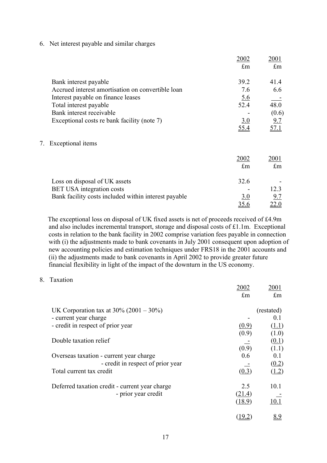6. Net interest payable and similar charges

|    |                                                      | 2002        | 2001        |
|----|------------------------------------------------------|-------------|-------------|
|    |                                                      | $\pounds$ m | $\pounds$ m |
|    | Bank interest payable                                | 39.2        | 41.4        |
|    | Accrued interest amortisation on convertible loan    | 7.6         | 6.6         |
|    | Interest payable on finance leases                   | 5.6         |             |
|    | Total interest payable                               | 52.4        | 48.0        |
|    | Bank interest receivable                             |             | (0.6)       |
|    | Exceptional costs re bank facility (note 7)          | 3.0         | 9.7         |
|    |                                                      | 55.4        | 57.1        |
| 7. | Exceptional items                                    |             |             |
|    |                                                      | 2002        | 2001        |
|    |                                                      | $\pounds$ m | $\pounds$ m |
|    | Loss on disposal of UK assets                        | 32.6        |             |
|    | <b>BET USA</b> integration costs                     |             | 12.3        |
|    | Bank facility costs included within interest payable | <u>3.0</u>  | 9.7         |
|    |                                                      | 35.6        | 22.0        |

The exceptional loss on disposal of UK fixed assets is net of proceeds received of £4.9m and also includes incremental transport, storage and disposal costs of £1.1m. Exceptional costs in relation to the bank facility in 2002 comprise variation fees payable in connection with (i) the adjustments made to bank covenants in July 2001 consequent upon adoption of new accounting policies and estimation techniques under FRS18 in the 2001 accounts and (ii) the adjustments made to bank covenants in April 2002 to provide greater future financial flexibility in light of the impact of the downturn in the US economy.

8. Taxation

|                                                | 2002        | 2001        |
|------------------------------------------------|-------------|-------------|
|                                                | $\pounds$ m | $\pounds$ m |
| UK Corporation tax at $30\%$ (2001 – 30%)      |             | (restated)  |
| - current year charge                          |             | 0.1         |
| - credit in respect of prior year              | (0.9)       | (1.1)       |
|                                                | (0.9)       | (1.0)       |
| Double taxation relief                         |             | (0.1)       |
|                                                | (0.9)       | (1.1)       |
| Overseas taxation - current year charge        | 0.6         | 0.1         |
| - credit in respect of prior year              |             | (0.2)       |
| Total current tax credit                       | (0.3)       | (1.2)       |
|                                                |             |             |
| Deferred taxation credit - current year charge | 2.5         | 10.1        |
| - prior year credit                            | (21.4)      |             |
|                                                | (18.9)      | 10.1        |
|                                                | (19.2)      | <u>8.9</u>  |
|                                                |             |             |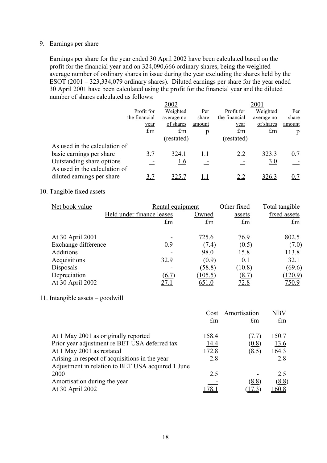#### 9. Earnings per share

Earnings per share for the year ended 30 April 2002 have been calculated based on the profit for the financial year and on 324,090,666 ordinary shares, being the weighted average number of ordinary shares in issue during the year excluding the shares held by the ESOT (2001 – 323,334,079 ordinary shares). Diluted earnings per share for the year ended 30 April 2001 have been calculated using the profit for the financial year and the diluted number of shares calculated as follows:

|                                                            |               | 2002        |        |               | 2001       |        |
|------------------------------------------------------------|---------------|-------------|--------|---------------|------------|--------|
|                                                            | Profit for    | Weighted    | Per    | Profit for    | Weighted   | Per    |
|                                                            | the financial | average no  | share  | the financial | average no | share  |
|                                                            | year          | of shares   | amount | year          | of shares  | amount |
|                                                            | $\pounds$ m   | $\pounds$ m | p      | $\pounds$ m   | £m         | p      |
|                                                            |               | (restated)  |        | (restated)    |            |        |
| As used in the calculation of                              |               |             |        |               |            |        |
| basic earnings per share                                   | 3.7           | 324.1       | 1.1    | 2.2           | 323.3      | 0.7    |
| Outstanding share options<br>As used in the calculation of |               | <u>1.6</u>  |        |               | 3.0        |        |
| diluted earnings per share                                 | 3.7           | 325.        |        |               | 326.3      | 0.7    |

## 10. Tangible fixed assets

| Net book value      |                           | Rental equipment | Other fixed  | Total tangible |
|---------------------|---------------------------|------------------|--------------|----------------|
|                     | Held under finance leases | Owned            | assets       | fixed assets   |
|                     | $\pounds$ m               | $\pounds$ m      | $\pounds$ m  | $\pounds$ m    |
| At 30 April 2001    |                           | 725.6            | 76.9         | 802.5          |
| Exchange difference | 0.9                       | (7.4)            | (0.5)        | (7.0)          |
| Additions           |                           | 98.0             | 15.8         | 113.8          |
| Acquisitions        | 32.9                      | (0.9)            | 0.1          | 32.1           |
| Disposals           |                           | (58.8)           | (10.8)       | (69.6)         |
| Depreciation        | (6.7)                     | (105.5)          | <u>(8.7)</u> | (120.9)        |
| At 30 April 2002    | 27.1                      | 651.0            | <u>72.8</u>  | 750.9          |

### 11. Intangible assets – goodwill

|                                                   | Cost        | Amortisation | ${\rm NBV}$ |
|---------------------------------------------------|-------------|--------------|-------------|
|                                                   | $\pounds$ m | $\pounds$ m  | $\pounds$ m |
| At 1 May 2001 as originally reported              | 158.4       | (7.7)        | 150.7       |
| Prior year adjustment re BET USA deferred tax     | 14.4        | (0.8)        | 13.6        |
| At 1 May 2001 as restated                         | 172.8       | (8.5)        | 164.3       |
| Arising in respect of acquisitions in the year    | 2.8         |              | 2.8         |
| Adjustment in relation to BET USA acquired 1 June |             |              |             |
| 2000                                              | 2.5         |              | 2.5         |
| Amortisation during the year                      |             | (8.8)        | (8.8)       |
| At 30 April 2002                                  |             | 7.3          | 60.8        |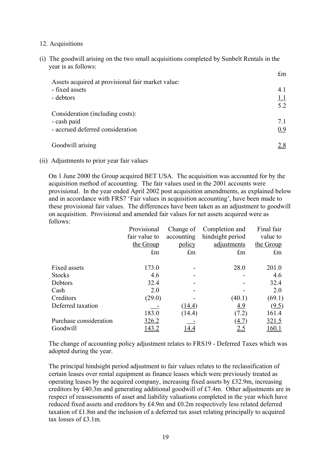### 12. Acquisitions

(i) The goodwill arising on the two small acquisitions completed by Sunbelt Rentals in the year is as follows:

| Assets acquired at provisional fair market value: | LIII. |
|---------------------------------------------------|-------|
| - fixed assets                                    | 4.1   |
| - debtors                                         | 1.1   |
| Consideration (including costs):                  | 5.2   |
| - cash paid                                       | 7.1   |
| - accrued deferred consideration                  | 0.9   |
| Goodwill arising                                  | 2.8   |

 $\mathbf{r}_{\mathbf{m}}$ 

(ii) Adjustments to prior year fair values

On 1 June 2000 the Group acquired BET USA. The acquisition was accounted for by the acquisition method of accounting. The fair values used in the 2001 accounts were provisional. In the year ended April 2002 post acquisition amendments, as explained below and in accordance with FRS7 'Fair values in acquisition accounting', have been made to these provisional fair values. The differences have been taken as an adjustment to goodwill on acquisition. Provisional and amended fair values for net assets acquired were as follows:

|                        | Provisional   | Change of   | Completion and   | Final fair   |
|------------------------|---------------|-------------|------------------|--------------|
|                        | fair value to | accounting  | hindsight period | value to     |
|                        | the Group     | policy      | adjustments      | the Group    |
|                        | $\pounds$ m   | $\pounds$ m | $\pounds$ m      | $\pounds$ m  |
| Fixed assets           | 173.0         |             | 28.0             | 201.0        |
| <b>Stocks</b>          | 4.6           |             |                  | 4.6          |
| Debtors                | 32.4          |             |                  | 32.4         |
| Cash                   | 2.0           |             |                  | 2.0          |
| Creditors              | (29.0)        |             | (40.1)           | (69.1)       |
| Deferred taxation      |               | (14.4)      | 4.9              | (9.5)        |
|                        | 183.0         | (14.4)      | (7.2)            | 161.4        |
| Purchase consideration | 326.2         |             | (4.7)            | <u>321.5</u> |
| Goodwill               |               |             | <u>2.5</u>       | .60.1        |

The change of accounting policy adjustment relates to FRS19 - Deferred Taxes which was adopted during the year.

The principal hindsight period adjustment to fair values relates to the reclassification of certain leases over rental equipment as finance leases which were previously treated as operating leases by the acquired company, increasing fixed assets by £32.9m, increasing creditors by £40.3m and generating additional goodwill of £7.4m. Other adjustments are in respect of reassessments of asset and liability valuations completed in the year which have reduced fixed assets and creditors by £4.9m and £0.2m respectively less related deferred taxation of £1.8m and the inclusion of a deferred tax asset relating principally to acquired tax losses of £3.1m.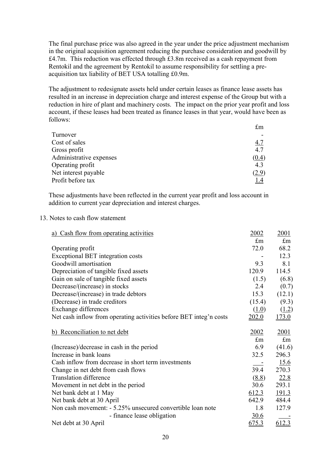The final purchase price was also agreed in the year under the price adjustment mechanism in the original acquisition agreement reducing the purchase consideration and goodwill by £4.7m. This reduction was effected through £3.8m received as a cash repayment from Rentokil and the agreement by Rentokil to assume responsibility for settling a preacquisition tax liability of BET USA totalling £0.9m.

The adjustment to redesignate assets held under certain leases as finance lease assets has resulted in an increase in depreciation charge and interest expense of the Group but with a reduction in hire of plant and machinery costs. The impact on the prior year profit and loss account, if these leases had been treated as finance leases in that year, would have been as follows:

|                         | $\pounds$ m  |
|-------------------------|--------------|
| Turnover                |              |
| Cost of sales           | <u>4.7</u>   |
| Gross profit            | 4.7          |
| Administrative expenses | (0.4)        |
| Operating profit        | 4.3          |
| Net interest payable    | <u>(2.9)</u> |
| Profit before tax       | 1.4          |

These adjustments have been reflected in the current year profit and loss account in addition to current year depreciation and interest charges.

#### 13. Notes to cash flow statement

| a) Cash flow from operating activities                             | 2002        | 2001         |
|--------------------------------------------------------------------|-------------|--------------|
|                                                                    | £m          | $\pounds$ m  |
| Operating profit                                                   | 72.0        | 68.2         |
| Exceptional BET integration costs                                  |             | 12.3         |
| Goodwill amortisation                                              | 9.3         | 8.1          |
| Depreciation of tangible fixed assets                              | 120.9       | 114.5        |
| Gain on sale of tangible fixed assets                              | (1.5)       | (6.8)        |
| Decrease/(increase) in stocks                                      | 2.4         | (0.7)        |
| Decrease/(increase) in trade debtors                               | 15.3        | (12.1)       |
| (Decrease) in trade creditors                                      | (15.4)      | (9.3)        |
| <b>Exchange differences</b>                                        | (1.0)       | (1.2)        |
| Net cash inflow from operating activities before BET integ'n costs | 202.0       | <u>173.0</u> |
|                                                                    |             |              |
| b) Reconciliation to net debt                                      | 2002        | 2001         |
|                                                                    | $\pounds$ m | $\pounds$ m  |
| (Increase)/decrease in cash in the period                          | 6.9         | (41.6)       |
| Increase in bank loans                                             | 32.5        | 296.3        |
| Cash inflow from decrease in short term investments                |             | 15.6         |
| Change in net debt from cash flows                                 | 39.4        | 270.3        |
| <b>Translation difference</b>                                      | (8.8)       | 22.8         |
| Movement in net debt in the period                                 | 30.6        | 293.1        |
| Net bank debt at 1 May                                             | 612.3       | <u>191.3</u> |
| Net bank debt at 30 April                                          | 642.9       | 484.4        |
| Non cash movement: - 5.25% unsecured convertible loan note         | 1.8         | 127.9        |
| - finance lease obligation                                         | <u>30.6</u> |              |
| Net debt at 30 April                                               | 675.3       | 612.3        |